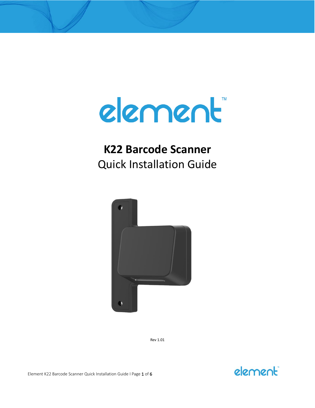

# **K22 Barcode Scanner** Quick Installation Guide



Rev 1.01

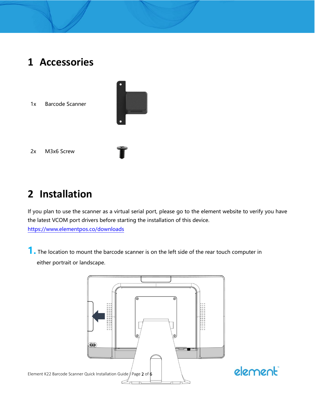### **1 Accessories**

1x Barcode Scanner



2x M3x6 Screw

## **2 Installation**

If you plan to use the scanner as a virtual serial port, please go to the element website to verify you have the latest VCOM port drivers before starting the installation of this device. <https://www.elementpos.co/downloads>

**1.** The location to mount the barcode scanner is on the left side of the rear touch computer in either portrait or landscape.

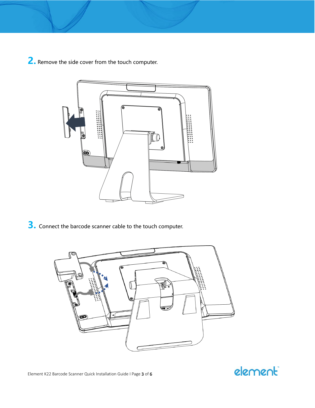**2.** Remove the side cover from the touch computer.



**3.** Connect the barcode scanner cable to the touch computer.



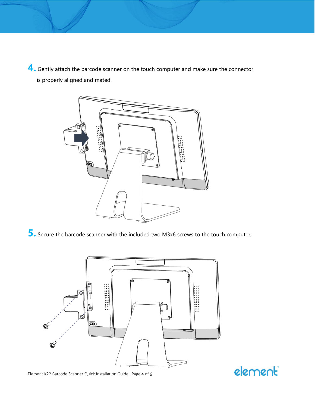**4.** Gently attach the barcode scanner on the touch computer and make sure the connector is properly aligned and mated.



**5.** Secure the barcode scanner with the included two M3x6 screws to the touch computer.



Element K22 Barcode Scanner Quick Installation Guide I Page 4 of 6

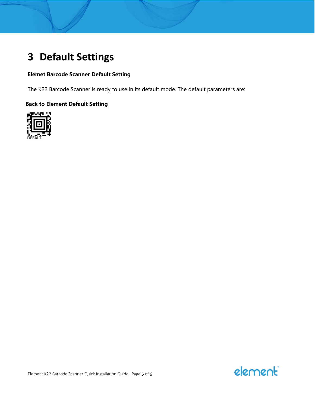## **3 Default Settings**

#### **Elemet Barcode Scanner Default Setting**

The K22 Barcode Scanner is ready to use in its default mode. The default parameters are:

#### **Back to Element Default Setting**